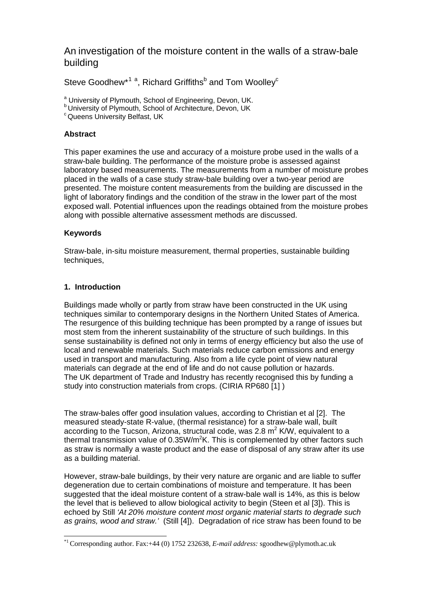# An investigation of the moisture content in the walls of a straw-bale building

Steve Goodhew<sup>\*[1](#page-0-0) a</sup>, Richard Griffiths<sup>b</sup> and Tom Woolley<sup>c</sup>

<sup>a</sup> University of Plymouth, School of Engineering, Devon, UK.

<sup>b</sup> University of Plymouth, School of Architecture, Devon, UK.

c Queens University Belfast, UK

## **Abstract**

This paper examines the use and accuracy of a moisture probe used in the walls of a straw-bale building. The performance of the moisture probe is assessed against laboratory based measurements. The measurements from a number of moisture probes placed in the walls of a case study straw-bale building over a two-year period are presented. The moisture content measurements from the building are discussed in the light of laboratory findings and the condition of the straw in the lower part of the most exposed wall. Potential influences upon the readings obtained from the moisture probes along with possible alternative assessment methods are discussed.

## **Keywords**

Straw-bale, in-situ moisture measurement, thermal properties, sustainable building techniques,

## **1. Introduction**

 $\overline{a}$ 

Buildings made wholly or partly from straw have been constructed in the UK using techniques similar to contemporary designs in the Northern United States of America. The resurgence of this building technique has been prompted by a range of issues but most stem from the inherent sustainability of the structure of such buildings. In this sense sustainability is defined not only in terms of energy efficiency but also the use of local and renewable materials. Such materials reduce carbon emissions and energy used in transport and manufacturing. Also from a life cycle point of view natural materials can degrade at the end of life and do not cause pollution or hazards. The UK department of Trade and Industry has recently recognised this by funding a study into construction materials from crops. (CIRIA RP680 [1] )

The straw-bales offer good insulation values, according to Christian et al [2]. The measured steady-state R-value, (thermal resistance) for a straw-bale wall, built according to the Tucson, Arizona, structural code, was 2.8  $m^2$  K/W, equivalent to a thermal transmission value of 0.35W/m<sup>2</sup>K. This is complemented by other factors such as straw is normally a waste product and the ease of disposal of any straw after its use as a building material.

However, straw-bale buildings, by their very nature are organic and are liable to suffer degeneration due to certain combinations of moisture and temperature. It has been suggested that the ideal moisture content of a straw-bale wall is 14%, as this is below the level that is believed to allow biological activity to begin (Steen et al [3]). This is echoed by Still *'At 20% moisture content most organic material starts to degrade such as grains, wood and straw.'* (Still [4]). Degradation of rice straw has been found to be

<span id="page-0-0"></span><sup>\*1</sup> Corresponding author. Fax:+44 (0) 1752 232638, *E-mail address:* sgoodhew@plymoth.ac.uk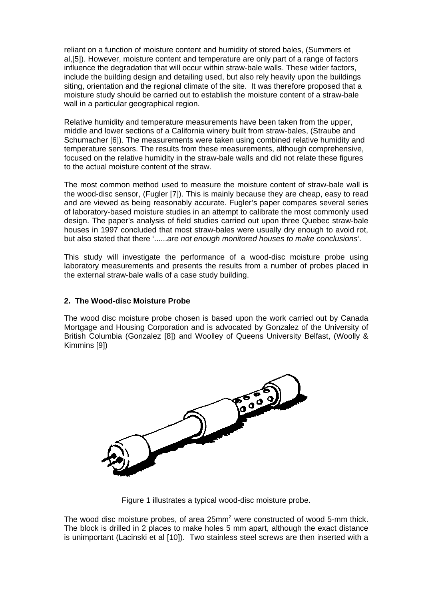reliant on a function of moisture content and humidity of stored bales, (Summers et al,[5]). However, moisture content and temperature are only part of a range of factors influence the degradation that will occur within straw-bale walls. These wider factors, include the building design and detailing used, but also rely heavily upon the buildings siting, orientation and the regional climate of the site. It was therefore proposed that a moisture study should be carried out to establish the moisture content of a straw-bale wall in a particular geographical region.

Relative humidity and temperature measurements have been taken from the upper, middle and lower sections of a California winery built from straw-bales, (Straube and Schumacher [6]). The measurements were taken using combined relative humidity and temperature sensors. The results from these measurements, although comprehensive, focused on the relative humidity in the straw-bale walls and did not relate these figures to the actual moisture content of the straw.

The most common method used to measure the moisture content of straw-bale wall is the wood-disc sensor, (Fugler [7]). This is mainly because they are cheap, easy to read and are viewed as being reasonably accurate. Fugler's paper compares several series of laboratory-based moisture studies in an attempt to calibrate the most commonly used design. The paper's analysis of field studies carried out upon three Quebec straw-bale houses in 1997 concluded that most straw-bales were usually dry enough to avoid rot, but also stated that there '......*are not enough monitored houses to make conclusions'*.

This study will investigate the performance of a wood-disc moisture probe using laboratory measurements and presents the results from a number of probes placed in the external straw-bale walls of a case study building.

## **2. The Wood-disc Moisture Probe**

The wood disc moisture probe chosen is based upon the work carried out by Canada Mortgage and Housing Corporation and is advocated by Gonzalez of the University of British Columbia (Gonzalez [8]) and Woolley of Queens University Belfast, (Woolly & Kimmins [9])



Figure 1 illustrates a typical wood-disc moisture probe.

The wood disc moisture probes, of area  $25$ mm $^2$  were constructed of wood 5-mm thick. The block is drilled in 2 places to make holes 5 mm apart, although the exact distance is unimportant (Lacinski et al [10]). Two stainless steel screws are then inserted with a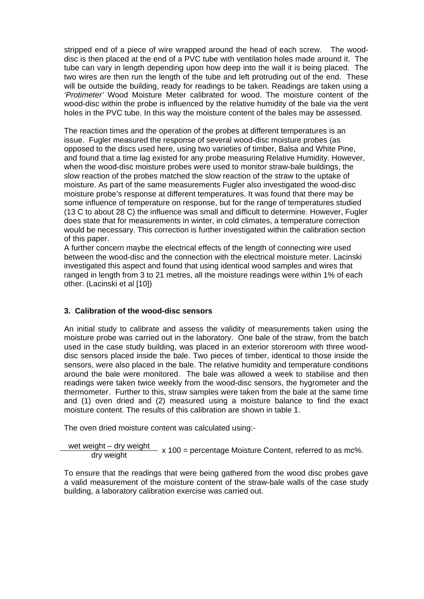stripped end of a piece of wire wrapped around the head of each screw. The wooddisc is then placed at the end of a PVC tube with ventilation holes made around it. The tube can vary in length depending upon how deep into the wall it is being placed. The two wires are then run the length of the tube and left protruding out of the end. These will be outside the building, ready for readings to be taken. Readings are taken using a *'Protimeter'* Wood Moisture Meter calibrated for wood. The moisture content of the wood-disc within the probe is influenced by the relative humidity of the bale via the vent holes in the PVC tube. In this way the moisture content of the bales may be assessed.

The reaction times and the operation of the probes at different temperatures is an issue. Fugler measured the response of several wood-disc moisture probes (as opposed to the discs used here, using two varieties of timber, Balsa and White Pine, and found that a time lag existed for any probe measuring Relative Humidity. However, when the wood-disc moisture probes were used to monitor straw-bale buildings, the slow reaction of the probes matched the slow reaction of the straw to the uptake of moisture. As part of the same measurements Fugler also investigated the wood-disc moisture probe's response at different temperatures. It was found that there may be some influence of temperature on response, but for the range of temperatures studied (13 C to about 28 C) the influence was small and difficult to determine. However, Fugler does state that for measurements in winter, in cold climates, a temperature correction would be necessary. This correction is further investigated within the calibration section of this paper.

A further concern maybe the electrical effects of the length of connecting wire used between the wood-disc and the connection with the electrical moisture meter. Lacinski investigated this aspect and found that using identical wood samples and wires that ranged in length from 3 to 21 metres, all the moisture readings were within 1% of each other. (Lacinski et al [10])

## **3. Calibration of the wood-disc sensors**

An initial study to calibrate and assess the validity of measurements taken using the moisture probe was carried out in the laboratory. One bale of the straw, from the batch used in the case study building, was placed in an exterior storeroom with three wooddisc sensors placed inside the bale. Two pieces of timber, identical to those inside the sensors, were also placed in the bale. The relative humidity and temperature conditions around the bale were monitored. The bale was allowed a week to stabilise and then readings were taken twice weekly from the wood-disc sensors, the hygrometer and the thermometer. Further to this, straw samples were taken from the bale at the same time and (1) oven dried and (2) measured using a moisture balance to find the exact moisture content. The results of this calibration are shown in table 1.

The oven dried moisture content was calculated using:-

wet weight – dry weight  $\frac{\text{logint} - \text{div} \text{w} - \text{div}}{x}$  x 100 = percentage Moisture Content, referred to as mc%.

To ensure that the readings that were being gathered from the wood disc probes gave a valid measurement of the moisture content of the straw-bale walls of the case study building, a laboratory calibration exercise was carried out.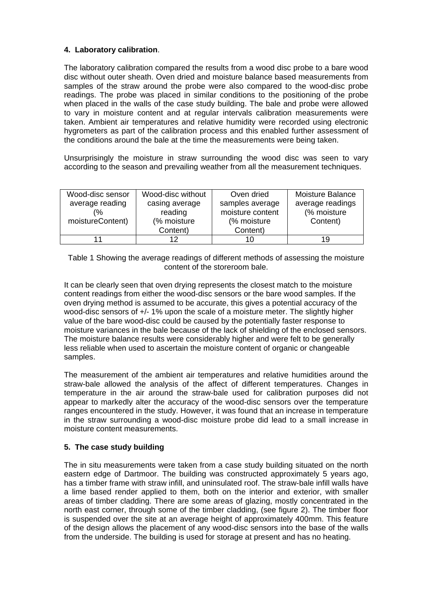## **4. Laboratory calibration**.

The laboratory calibration compared the results from a wood disc probe to a bare wood disc without outer sheath. Oven dried and moisture balance based measurements from samples of the straw around the probe were also compared to the wood-disc probe readings. The probe was placed in similar conditions to the positioning of the probe when placed in the walls of the case study building. The bale and probe were allowed to vary in moisture content and at regular intervals calibration measurements were taken. Ambient air temperatures and relative humidity were recorded using electronic hygrometers as part of the calibration process and this enabled further assessment of the conditions around the bale at the time the measurements were being taken.

Unsurprisingly the moisture in straw surrounding the wood disc was seen to vary according to the season and prevailing weather from all the measurement techniques.

| Wood-disc sensor | Wood-disc without | Oven dried       | <b>Moisture Balance</b> |  |
|------------------|-------------------|------------------|-------------------------|--|
| average reading  | casing average    | samples average  | average readings        |  |
| (%               | reading           | moisture content | (% moisture             |  |
| moistureContent) | (% moisture       | (% moisture      | Content)                |  |
|                  | Content)          | Content)         |                         |  |
|                  | 12                |                  | 19                      |  |

Table 1 Showing the average readings of different methods of assessing the moisture content of the storeroom bale.

It can be clearly seen that oven drying represents the closest match to the moisture content readings from either the wood-disc sensors or the bare wood samples. If the oven drying method is assumed to be accurate, this gives a potential accuracy of the wood-disc sensors of +/- 1% upon the scale of a moisture meter. The slightly higher value of the bare wood-disc could be caused by the potentially faster response to moisture variances in the bale because of the lack of shielding of the enclosed sensors. The moisture balance results were considerably higher and were felt to be generally less reliable when used to ascertain the moisture content of organic or changeable samples.

The measurement of the ambient air temperatures and relative humidities around the straw-bale allowed the analysis of the affect of different temperatures. Changes in temperature in the air around the straw-bale used for calibration purposes did not appear to markedly alter the accuracy of the wood-disc sensors over the temperature ranges encountered in the study. However, it was found that an increase in temperature in the straw surrounding a wood-disc moisture probe did lead to a small increase in moisture content measurements.

## **5. The case study building**

The in situ measurements were taken from a case study building situated on the north eastern edge of Dartmoor. The building was constructed approximately 5 years ago, has a timber frame with straw infill, and uninsulated roof. The straw-bale infill walls have a lime based render applied to them, both on the interior and exterior, with smaller areas of timber cladding. There are some areas of glazing, mostly concentrated in the north east corner, through some of the timber cladding, (see figure 2). The timber floor is suspended over the site at an average height of approximately 400mm. This feature of the design allows the placement of any wood-disc sensors into the base of the walls from the underside. The building is used for storage at present and has no heating.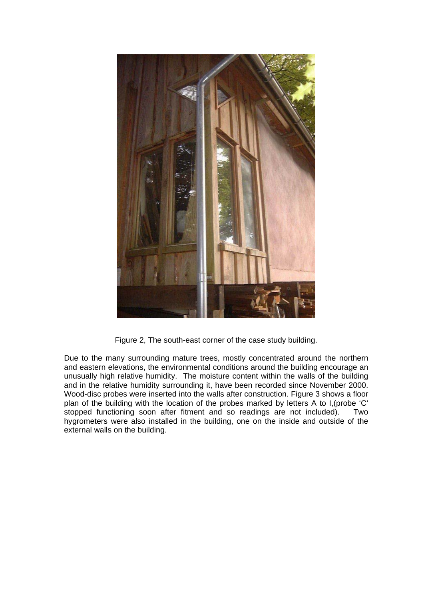

Figure 2, The south-east corner of the case study building.

Due to the many surrounding mature trees, mostly concentrated around the northern and eastern elevations, the environmental conditions around the building encourage an unusually high relative humidity. The moisture content within the walls of the building and in the relative humidity surrounding it, have been recorded since November 2000. Wood-disc probes were inserted into the walls after construction. Figure 3 shows a floor plan of the building with the location of the probes marked by letters A to I,(probe 'C' stopped functioning soon after fitment and so readings are not included). Two hygrometers were also installed in the building, one on the inside and outside of the external walls on the building.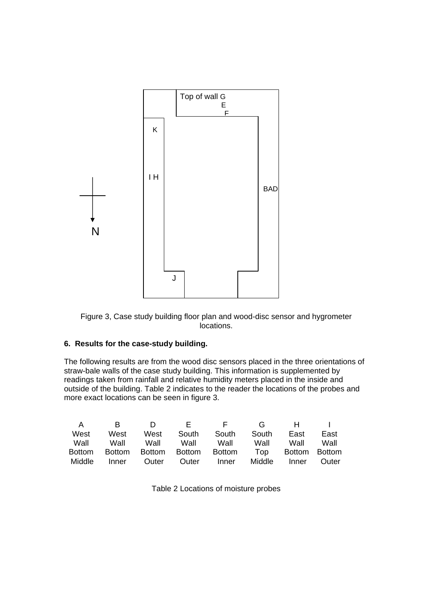

Figure 3, Case study building floor plan and wood-disc sensor and hygrometer locations.

## **6. Results for the case-study building.**

The following results are from the wood disc sensors placed in the three orientations of straw-bale walls of the case study building. This information is supplemented by readings taken from rainfall and relative humidity meters placed in the inside and outside of the building. Table 2 indicates to the reader the locations of the probes and more exact locations can be seen in figure 3.

|               | R             |               |               |               | $\mathsf{G}$ | н     |               |
|---------------|---------------|---------------|---------------|---------------|--------------|-------|---------------|
| West          | West          | West          | South         | South         | South        | East  | East          |
| Wall          | Wall          | Wall          | Wall          | Wall          | Wall         | Wall  | Wall          |
| <b>Bottom</b> | <b>Bottom</b> | <b>Bottom</b> | <b>Bottom</b> | <b>Bottom</b> | Top          |       | Bottom Bottom |
| Middle        | Inner         | Outer         | Outer         | Inner         | Middle       | Inner | Outer         |

Table 2 Locations of moisture probes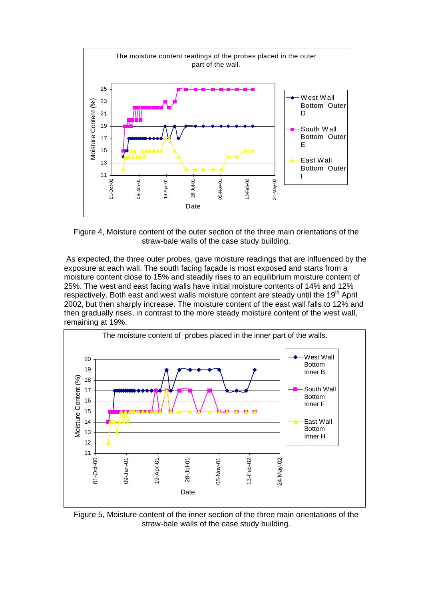

Figure 4, Moisture content of the outer section of the three main orientations of the straw-bale walls of the case study building.

 As expected, the three outer probes, gave moisture readings that are influenced by the exposure at each wall. The south facing façade is most exposed and starts from a moisture content close to 15% and steadily rises to an equilibrium moisture content of 25%. The west and east facing walls have initial moisture contents of 14% and 12% respectively. Both east and west walls moisture content are steady until the 19<sup>th</sup> April 2002, but then sharply increase. The moisture content of the east wall falls to 12% and then gradually rises, in contrast to the more steady moisture content of the west wall, remaining at 19%.



Figure 5, Moisture content of the inner section of the three main orientations of the straw-bale walls of the case study building.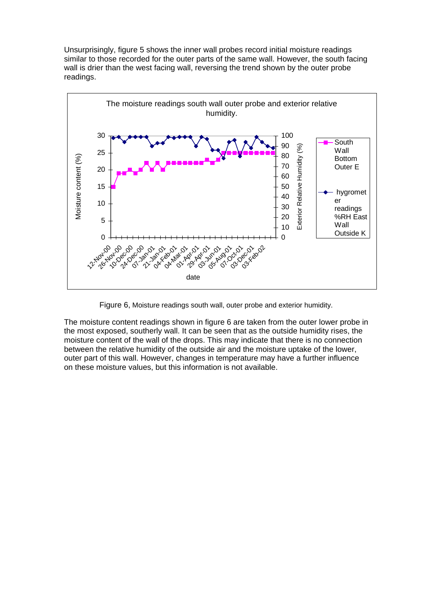Unsurprisingly, figure 5 shows the inner wall probes record initial moisture readings similar to those recorded for the outer parts of the same wall. However, the south facing wall is drier than the west facing wall, reversing the trend shown by the outer probe readings.



Figure 6, Moisture readings south wall, outer probe and exterior humidity.

The moisture content readings shown in figure 6 are taken from the outer lower probe in the most exposed, southerly wall. It can be seen that as the outside humidity rises, the moisture content of the wall of the drops. This may indicate that there is no connection between the relative humidity of the outside air and the moisture uptake of the lower, outer part of this wall. However, changes in temperature may have a further influence on these moisture values, but this information is not available.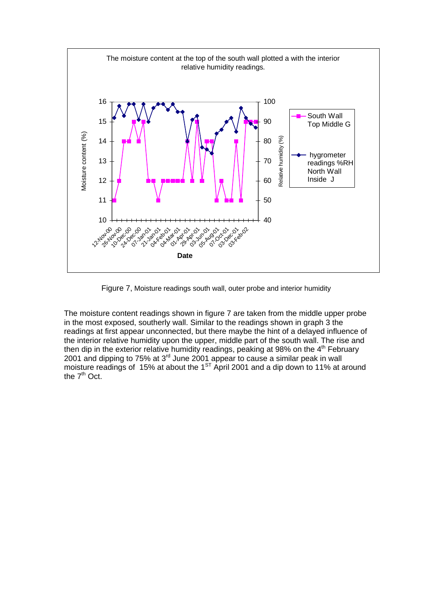

Figure 7, Moisture readings south wall, outer probe and interior humidity

The moisture content readings shown in figure 7 are taken from the middle upper probe in the most exposed, southerly wall. Similar to the readings shown in graph 3 the readings at first appear unconnected, but there maybe the hint of a delayed influence of the interior relative humidity upon the upper, middle part of the south wall. The rise and then dip in the exterior relative humidity readings, peaking at 98% on the  $4<sup>th</sup>$  February 2001 and dipping to 75% at 3rd June 2001 appear to cause a similar peak in wall moisture readings of 15% at about the 1<sup>ST</sup> April 2001 and a dip down to 11% at around the  $7<sup>th</sup>$  Oct.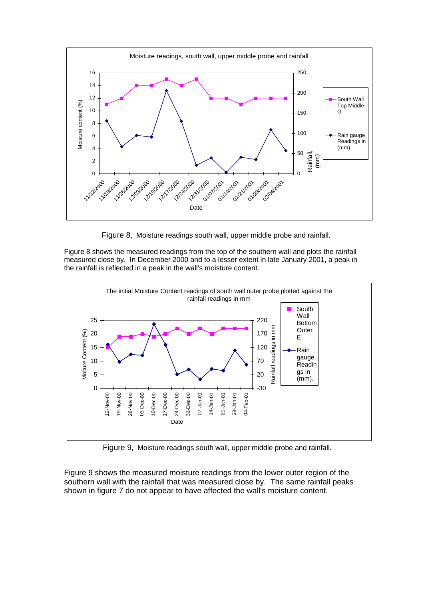

Figure 8, Moisture readings south wall, upper middle probe and rainfall.

Figure 8 shows the measured readings from the top of the southern wall and plots the rainfall measured close by. In December 2000 and to a lesser extent in late January 2001, a peak in the rainfall is reflected in a peak in the wall's moisture content.



Figure 9, Moisture readings south wall, upper middle probe and rainfall.

Figure 9 shows the measured moisture readings from the lower outer region of the southern wall with the rainfall that was measured close by. The same rainfall peaks shown in figure 7 do not appear to have affected the wall's moisture content.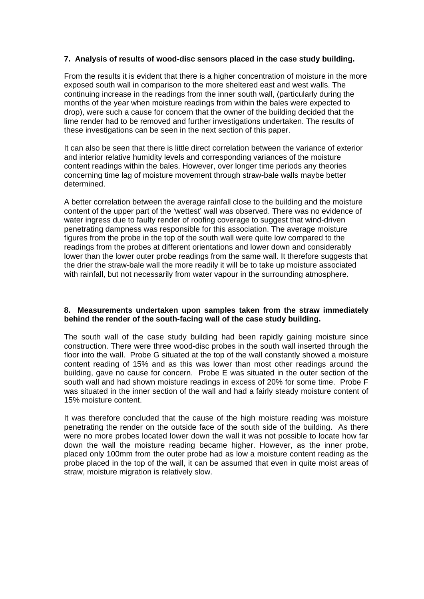## **7. Analysis of results of wood-disc sensors placed in the case study building.**

From the results it is evident that there is a higher concentration of moisture in the more exposed south wall in comparison to the more sheltered east and west walls. The continuing increase in the readings from the inner south wall, (particularly during the months of the year when moisture readings from within the bales were expected to drop), were such a cause for concern that the owner of the building decided that the lime render had to be removed and further investigations undertaken. The results of these investigations can be seen in the next section of this paper.

It can also be seen that there is little direct correlation between the variance of exterior and interior relative humidity levels and corresponding variances of the moisture content readings within the bales. However, over longer time periods any theories concerning time lag of moisture movement through straw-bale walls maybe better determined.

A better correlation between the average rainfall close to the building and the moisture content of the upper part of the 'wettest' wall was observed. There was no evidence of water ingress due to faulty render of roofing coverage to suggest that wind-driven penetrating dampness was responsible for this association. The average moisture figures from the probe in the top of the south wall were quite low compared to the readings from the probes at different orientations and lower down and considerably lower than the lower outer probe readings from the same wall. It therefore suggests that the drier the straw-bale wall the more readily it will be to take up moisture associated with rainfall, but not necessarily from water vapour in the surrounding atmosphere.

## **8. Measurements undertaken upon samples taken from the straw immediately behind the render of the south-facing wall of the case study building.**

The south wall of the case study building had been rapidly gaining moisture since construction. There were three wood-disc probes in the south wall inserted through the floor into the wall. Probe G situated at the top of the wall constantly showed a moisture content reading of 15% and as this was lower than most other readings around the building, gave no cause for concern. Probe E was situated in the outer section of the south wall and had shown moisture readings in excess of 20% for some time. Probe F was situated in the inner section of the wall and had a fairly steady moisture content of 15% moisture content.

It was therefore concluded that the cause of the high moisture reading was moisture penetrating the render on the outside face of the south side of the building. As there were no more probes located lower down the wall it was not possible to locate how far down the wall the moisture reading became higher. However, as the inner probe, placed only 100mm from the outer probe had as low a moisture content reading as the probe placed in the top of the wall, it can be assumed that even in quite moist areas of straw, moisture migration is relatively slow.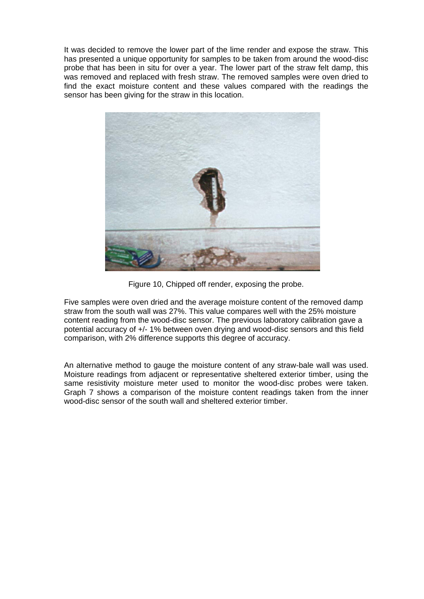It was decided to remove the lower part of the lime render and expose the straw. This has presented a unique opportunity for samples to be taken from around the wood-disc probe that has been in situ for over a year. The lower part of the straw felt damp, this was removed and replaced with fresh straw. The removed samples were oven dried to find the exact moisture content and these values compared with the readings the sensor has been giving for the straw in this location.



Figure 10, Chipped off render, exposing the probe.

Five samples were oven dried and the average moisture content of the removed damp straw from the south wall was 27%. This value compares well with the 25% moisture content reading from the wood-disc sensor. The previous laboratory calibration gave a potential accuracy of +/- 1% between oven drying and wood-disc sensors and this field comparison, with 2% difference supports this degree of accuracy.

An alternative method to gauge the moisture content of any straw-bale wall was used. Moisture readings from adjacent or representative sheltered exterior timber, using the same resistivity moisture meter used to monitor the wood-disc probes were taken. Graph 7 shows a comparison of the moisture content readings taken from the inner wood-disc sensor of the south wall and sheltered exterior timber.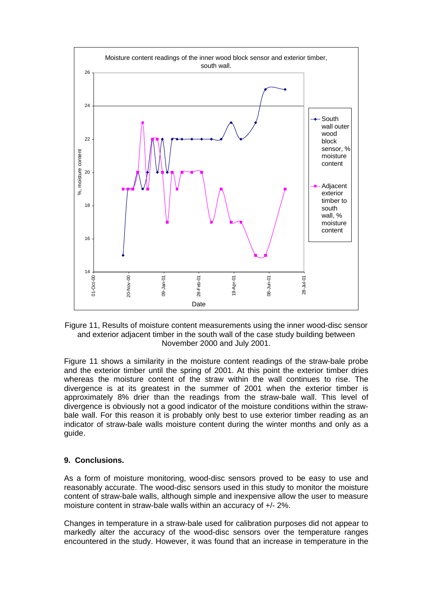

Figure 11, Results of moisture content measurements using the inner wood-disc sensor and exterior adjacent timber in the south wall of the case study building between November 2000 and July 2001.

Figure 11 shows a similarity in the moisture content readings of the straw-bale probe and the exterior timber until the spring of 2001. At this point the exterior timber dries whereas the moisture content of the straw within the wall continues to rise. The divergence is at its greatest in the summer of 2001 when the exterior timber is approximately 8% drier than the readings from the straw-bale wall. This level of divergence is obviously not a good indicator of the moisture conditions within the strawbale wall. For this reason it is probably only best to use exterior timber reading as an indicator of straw-bale walls moisture content during the winter months and only as a guide.

## **9. Conclusions.**

As a form of moisture monitoring, wood-disc sensors proved to be easy to use and reasonably accurate. The wood-disc sensors used in this study to monitor the moisture content of straw-bale walls, although simple and inexpensive allow the user to measure moisture content in straw-bale walls within an accuracy of +/- 2%.

Changes in temperature in a straw-bale used for calibration purposes did not appear to markedly alter the accuracy of the wood-disc sensors over the temperature ranges encountered in the study. However, it was found that an increase in temperature in the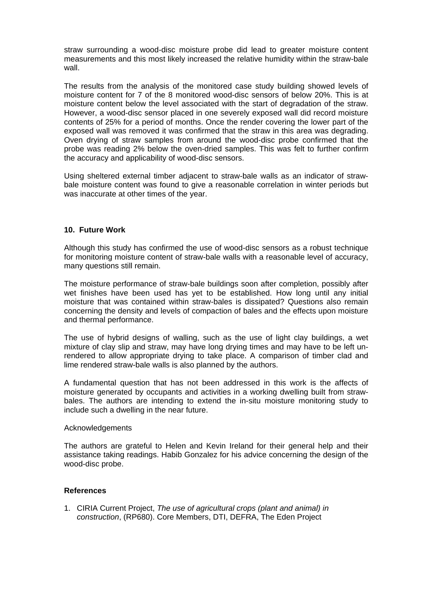straw surrounding a wood-disc moisture probe did lead to greater moisture content measurements and this most likely increased the relative humidity within the straw-bale wall.

The results from the analysis of the monitored case study building showed levels of moisture content for 7 of the 8 monitored wood-disc sensors of below 20%. This is at moisture content below the level associated with the start of degradation of the straw. However, a wood-disc sensor placed in one severely exposed wall did record moisture contents of 25% for a period of months. Once the render covering the lower part of the exposed wall was removed it was confirmed that the straw in this area was degrading. Oven drying of straw samples from around the wood-disc probe confirmed that the probe was reading 2% below the oven-dried samples. This was felt to further confirm the accuracy and applicability of wood-disc sensors.

Using sheltered external timber adjacent to straw-bale walls as an indicator of strawbale moisture content was found to give a reasonable correlation in winter periods but was inaccurate at other times of the year.

### **10. Future Work**

Although this study has confirmed the use of wood-disc sensors as a robust technique for monitoring moisture content of straw-bale walls with a reasonable level of accuracy, many questions still remain.

The moisture performance of straw-bale buildings soon after completion, possibly after wet finishes have been used has yet to be established. How long until any initial moisture that was contained within straw-bales is dissipated? Questions also remain concerning the density and levels of compaction of bales and the effects upon moisture and thermal performance.

The use of hybrid designs of walling, such as the use of light clay buildings, a wet mixture of clay slip and straw, may have long drying times and may have to be left unrendered to allow appropriate drying to take place. A comparison of timber clad and lime rendered straw-bale walls is also planned by the authors.

A fundamental question that has not been addressed in this work is the affects of moisture generated by occupants and activities in a working dwelling built from strawbales. The authors are intending to extend the in-situ moisture monitoring study to include such a dwelling in the near future.

#### Acknowledgements

The authors are grateful to Helen and Kevin Ireland for their general help and their assistance taking readings. Habib Gonzalez for his advice concerning the design of the wood-disc probe.

### **References**

1. CIRIA Current Project, *The use of agricultural crops (plant and animal) in construction*, (RP680). Core Members, DTI, DEFRA, The Eden Project